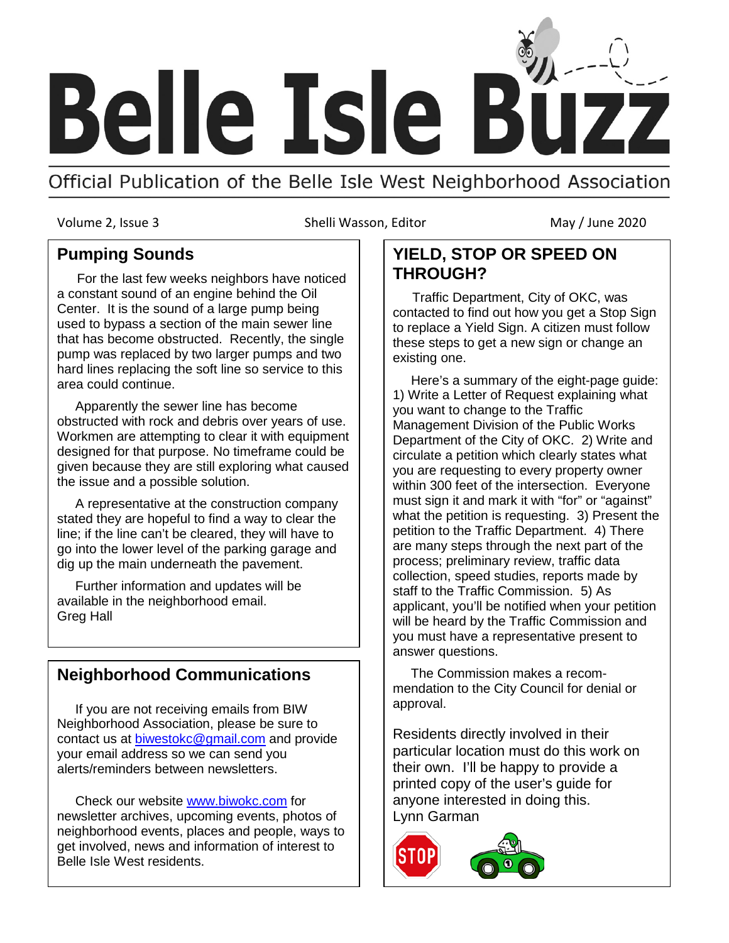

Official Publication of the Belle Isle West Neighborhood Association

Volume 2, Issue 3 Shelli Wasson, Editor May / June 2020

### **Pumping Sounds**

 For the last few weeks neighbors have noticed a constant sound of an engine behind the Oil Center. It is the sound of a large pump being used to bypass a section of the main sewer line that has become obstructed. Recently, the single pump was replaced by two larger pumps and two hard lines replacing the soft line so service to this area could continue.

 Apparently the sewer line has become obstructed with rock and debris over years of use. Workmen are attempting to clear it with equipment designed for that purpose. No timeframe could be given because they are still exploring what caused the issue and a possible solution.

 A representative at the construction company stated they are hopeful to find a way to clear the line; if the line can't be cleared, they will have to go into the lower level of the parking garage and dig up the main underneath the pavement.

 Further information and updates will be available in the neighborhood email. Greg Hall

## **Neighborhood Communications**

 If you are not receiving emails from BIW Neighborhood Association, please be sure to contact us at **biwestokc@gmail.com** and provide your email address so we can send you alerts/reminders between newsletters.

 Check our website [www.biwokc.com](http://www.biwokc.com/) for newsletter archives, upcoming events, photos of neighborhood events, places and people, ways to get involved, news and information of interest to Belle Isle West residents.

## **YIELD, STOP OR SPEED ON THROUGH?**

 Traffic Department, City of OKC, was contacted to find out how you get a Stop Sign to replace a Yield Sign. A citizen must follow these steps to get a new sign or change an existing one.

 Here's a summary of the eight-page guide: 1) Write a Letter of Request explaining what you want to change to the Traffic Management Division of the Public Works Department of the City of OKC. 2) Write and circulate a petition which clearly states what you are requesting to every property owner within 300 feet of the intersection. Everyone must sign it and mark it with "for" or "against" what the petition is requesting. 3) Present the petition to the Traffic Department. 4) There are many steps through the next part of the process; preliminary review, traffic data collection, speed studies, reports made by staff to the Traffic Commission. 5) As applicant, you'll be notified when your petition will be heard by the Traffic Commission and you must have a representative present to answer questions.

 The Commission makes a recommendation to the City Council for denial or approval.

Residents directly involved in their particular location must do this work on their own. I'll be happy to provide a printed copy of the user's guide for anyone interested in doing this. Lynn Garman

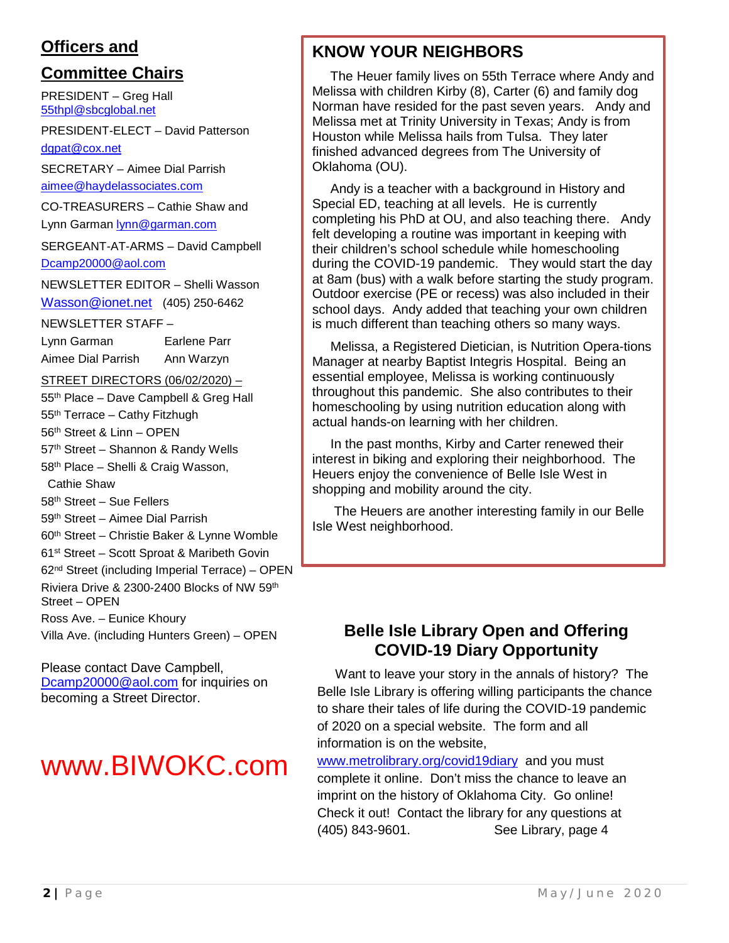## **Officers and**

# **Committee Chairs**

PRESIDENT – Greg Hall [55thpl@sbcglobal.net](mailto:55thpl@sbcglobal.net)

PRESIDENT-ELECT – David Patterson [dgpat@cox.net](mailto:dgpat@cox.net)

SECRETARY – Aimee Dial Parrish [aimee@haydelassociates.com](mailto:aimee@haydelassociates.com)

CO-TREASURERS – Cathie Shaw and

Lynn Garman [lynn@garman.com](mailto:lynn@garman.com)

SERGEANT-AT-ARMS – David Campbell [Dcamp20000@aol.com](mailto:Dcamp20000@aol.com)

NEWSLETTER EDITOR – Shelli Wasson

[Wasson@ionet.net](mailto:Wasson@ionet.net) (405) 250-6462

NEWSLETTER STAFF –

Lynn Garman Earlene Parr Aimee Dial Parrish Ann Warzyn

#### STREET DIRECTORS (06/02/2020) –

55<sup>th</sup> Place – Dave Campbell & Greg Hall

55th Terrace – Cathy Fitzhugh

56th Street & Linn – OPEN

57<sup>th</sup> Street - Shannon & Randy Wells

58th Place – Shelli & Craig Wasson,

Cathie Shaw

58th Street – Sue Fellers

59th Street – Aimee Dial Parrish

60th Street – Christie Baker & Lynne Womble

61st Street – Scott Sproat & Maribeth Govin

62nd Street (including Imperial Terrace) – OPEN

Riviera Drive & 2300-2400 Blocks of NW 59th Street – OPEN

Ross Ave. – Eunice Khoury

Villa Ave. (including Hunters Green) – OPEN

#### Please contact Dave Campbell, [Dcamp20000@aol.com](mailto:Dcamp20000@aol.com) for inquiries on becoming a Street Director.

# www.BIWOKC.com

# **KNOW YOUR NEIGHBORS**

 The Heuer family lives on 55th Terrace where Andy and Melissa with children Kirby (8), Carter (6) and family dog Norman have resided for the past seven years. Andy and Melissa met at Trinity University in Texas; Andy is from Houston while Melissa hails from Tulsa. They later finished advanced degrees from The University of Oklahoma (OU).

 Andy is a teacher with a background in History and Special ED, teaching at all levels. He is currently completing his PhD at OU, and also teaching there. Andy felt developing a routine was important in keeping with their children's school schedule while homeschooling during the COVID-19 pandemic. They would start the day at 8am (bus) with a walk before starting the study program. Outdoor exercise (PE or recess) was also included in their school days. Andy added that teaching your own children is much different than teaching others so many ways.

 Melissa, a Registered Dietician, is Nutrition Opera-tions Manager at nearby Baptist Integris Hospital. Being an essential employee, Melissa is working continuously throughout this pandemic. She also contributes to their homeschooling by using nutrition education along with actual hands-on learning with her children.

 In the past months, Kirby and Carter renewed their interest in biking and exploring their neighborhood. The Heuers enjoy the convenience of Belle Isle West in shopping and mobility around the city.

 The Heuers are another interesting family in our Belle Isle West neighborhood.

## **Belle Isle Library Open and Offering COVID-19 Diary Opportunity**

 Want to leave your story in the annals of history? The Belle Isle Library is offering willing participants the chance to share their tales of life during the COVID-19 pandemic of 2020 on a special website. The form and all information is on the website,

[www.metrolibrary.org/covid19diary](http://www.metrolibrary.org/covid19diary) and you must complete it online. Don't miss the chance to leave an imprint on the history of Oklahoma City. Go online! Check it out! Contact the library for any questions at (405) 843-9601. See Library, page 4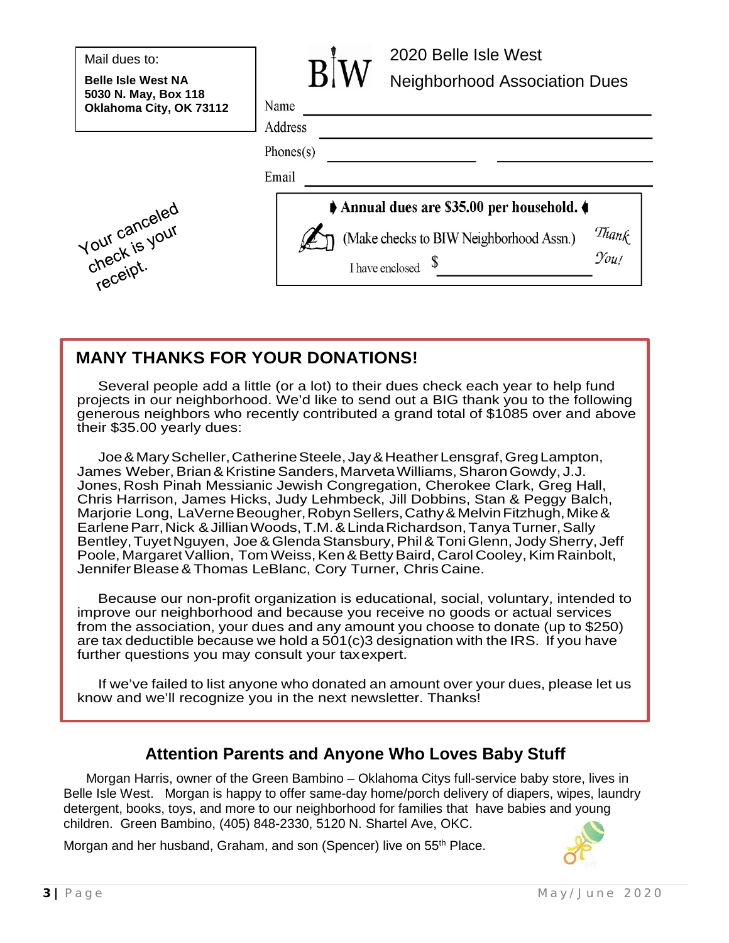|  | Mail dues to: |  |
|--|---------------|--|
|--|---------------|--|

**Belle Isle West NA 5030 N. May, Box 118 Oklahoma City, OK 73112**





# **MANY THANKS FOR YOUR DONATIONS!**

 Several people add a little (or a lot) to their dues check each year to help fund projects in our neighborhood. We'd like to send out a BIG thank you to the following generous neighbors who recently contributed a grand total of \$1085 over and above their \$35.00 yearly dues:

 Joe&MaryScheller,CatherineSteele, Jay&HeatherLensgraf,GregLampton, James Weber, Brian & Kristine Sanders, Marveta Williams, Sharon Gowdy, J.J. Jones, Rosh Pinah Messianic Jewish Congregation, Cherokee Clark, Greg Hall, Chris Harrison, James Hicks, Judy Lehmbeck, Jill Dobbins, Stan & Peggy Balch, Marjorie Long, LaVerne Beougher, Robyn Sellers, Cathy & Melvin Fitzhugh, Mike & EarleneParr,Nick &JillianWoods,T.M.&LindaRichardson,TanyaTurner,Sally Bentley, Tuyet Nguyen, Joe & Glenda Stansbury, Phil & Toni Glenn, Jody Sherry, Jeff Poole, Margaret Vallion, Tom Weiss, Ken & Betty Baird, Carol Cooley, Kim Rainbolt, Jennifer Blease & Thomas LeBlanc, Cory Turner, Chris Caine.

 Because our non-profit organization is educational, social, voluntary, intended to improve our neighborhood and because you receive no goods or actual services from the association, your dues and any amount you choose to donate (up to \$250) are tax deductible because we hold a 501(c)3 designation with the IRS. If you have further questions you may consult your taxexpert.

 If we've failed to list anyone who donated an amount over your dues, please let us know and we'll recognize you in the next newsletter. Thanks!

## **Attention Parents and Anyone Who Loves Baby Stuff**

Morgan Harris, owner of the Green Bambino – Oklahoma Citys full-service baby store, lives in Belle Isle West. Morgan is happy to offer same-day home/porch delivery of diapers, wipes, laundry detergent, books, toys, and more to our neighborhood for families that have babies and young children. Green Bambino, (405) 848-2330, 5120 N. Shartel Ave, OKC.

Morgan and her husband, Graham, and son (Spencer) live on 55<sup>th</sup> Place.